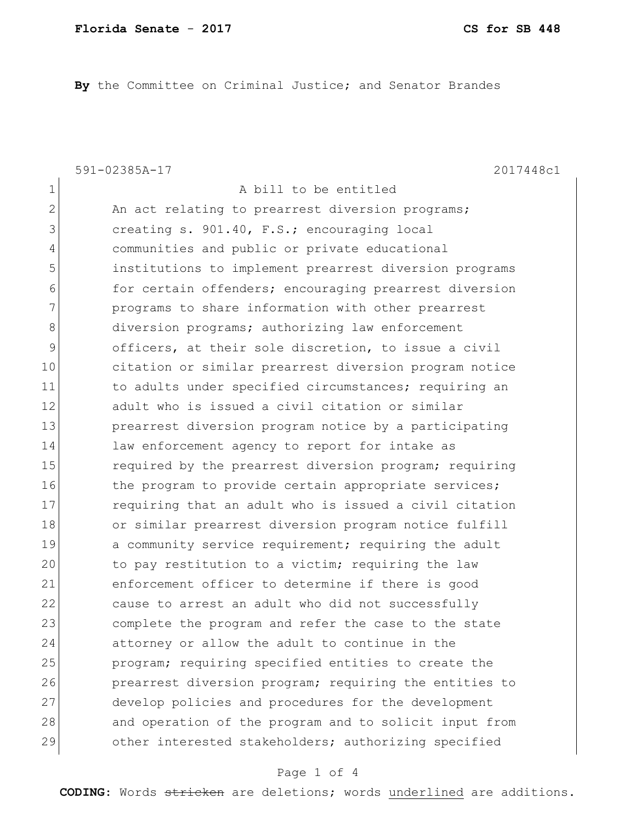**By** the Committee on Criminal Justice; and Senator Brandes

591-02385A-17 2017448c1

1 a bill to be entitled 2 An act relating to prearrest diversion programs; 3 3 creating s. 901.40, F.S.; encouraging local 4 communities and public or private educational 5 institutions to implement prearrest diversion programs 6 for certain offenders; encouraging prearrest diversion 7 **programs** to share information with other prearrest 8 diversion programs; authorizing law enforcement 9 officers, at their sole discretion, to issue a civil 10 citation or similar prearrest diversion program notice 11 11 to adults under specified circumstances; requiring an 12 adult who is issued a civil citation or similar 13 prearrest diversion program notice by a participating 14 law enforcement agency to report for intake as 15 15 required by the prearrest diversion program; requiring 16 the program to provide certain appropriate services; 17 requiring that an adult who is issued a civil citation 18 or similar prearrest diversion program notice fulfill 19 a community service requirement; requiring the adult 20 to pay restitution to a victim; requiring the law 21 enforcement officer to determine if there is good 22 cause to arrest an adult who did not successfully 23 complete the program and refer the case to the state 24 attorney or allow the adult to continue in the 25 program; requiring specified entities to create the 26 prearrest diversion program; requiring the entities to 27 develop policies and procedures for the development 28 and operation of the program and to solicit input from 29 other interested stakeholders; authorizing specified

## Page 1 of 4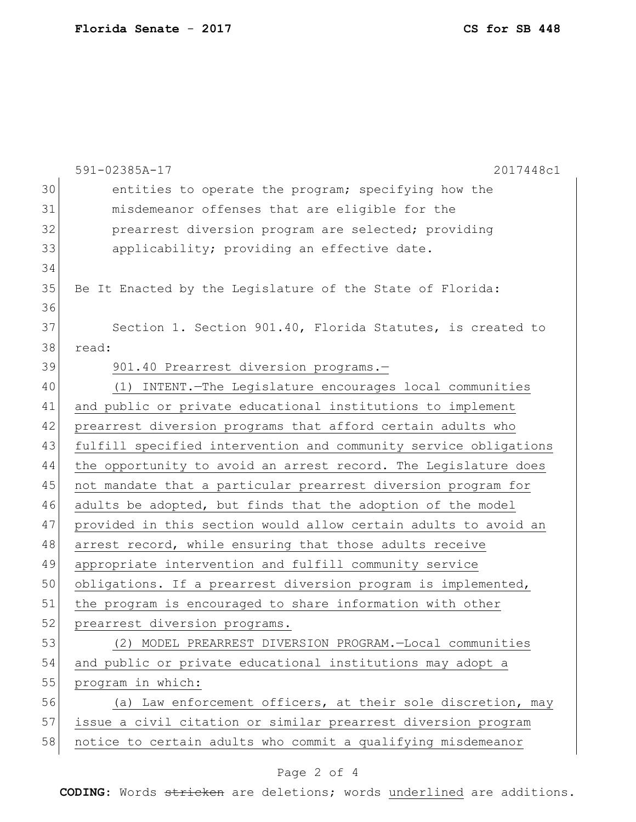|    | 591-02385A-17<br>2017448c1                                       |
|----|------------------------------------------------------------------|
| 30 | entities to operate the program; specifying how the              |
| 31 | misdemeanor offenses that are eligible for the                   |
| 32 | prearrest diversion program are selected; providing              |
| 33 | applicability; providing an effective date.                      |
| 34 |                                                                  |
| 35 | Be It Enacted by the Legislature of the State of Florida:        |
| 36 |                                                                  |
| 37 | Section 1. Section 901.40, Florida Statutes, is created to       |
| 38 | read:                                                            |
| 39 | 901.40 Prearrest diversion programs.-                            |
| 40 | (1) INTENT. - The Legislature encourages local communities       |
| 41 | and public or private educational institutions to implement      |
| 42 | prearrest diversion programs that afford certain adults who      |
| 43 | fulfill specified intervention and community service obligations |
| 44 | the opportunity to avoid an arrest record. The Legislature does  |
| 45 | not mandate that a particular prearrest diversion program for    |
| 46 | adults be adopted, but finds that the adoption of the model      |
| 47 | provided in this section would allow certain adults to avoid an  |
| 48 | arrest record, while ensuring that those adults receive          |
| 49 | appropriate intervention and fulfill community service           |
| 50 | obligations. If a prearrest diversion program is implemented,    |
| 51 | the program is encouraged to share information with other        |
| 52 | prearrest diversion programs.                                    |
| 53 | (2) MODEL PREARREST DIVERSION PROGRAM.-Local communities         |
| 54 | and public or private educational institutions may adopt a       |
| 55 | program in which:                                                |
| 56 | (a) Law enforcement officers, at their sole discretion, may      |
| 57 | issue a civil citation or similar prearrest diversion program    |
| 58 | notice to certain adults who commit a qualifying misdemeanor     |
|    | Page 2 of 4                                                      |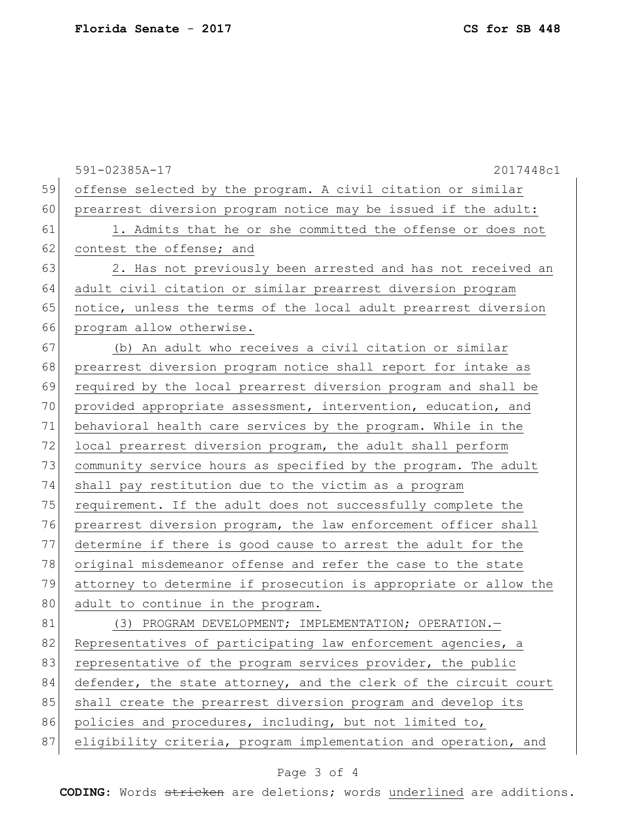591-02385A-17 2017448c1 59 offense selected by the program. A civil citation or similar 60 prearrest diversion program notice may be issued if the adult: 61 1. Admits that he or she committed the offense or does not 62 contest the offense; and 63 2. Has not previously been arrested and has not received an 64 adult civil citation or similar prearrest diversion program 65 notice, unless the terms of the local adult prearrest diversion 66 program allow otherwise. 67 (b) An adult who receives a civil citation or similar 68 prearrest diversion program notice shall report for intake as 69 required by the local prearrest diversion program and shall be 70 provided appropriate assessment, intervention, education, and 71 behavioral health care services by the program. While in the 72 local prearrest diversion program, the adult shall perform 73 community service hours as specified by the program. The adult 74 shall pay restitution due to the victim as a program 75 requirement. If the adult does not successfully complete the 76 prearrest diversion program, the law enforcement officer shall 77 determine if there is good cause to arrest the adult for the 78 original misdemeanor offense and refer the case to the state 79 attorney to determine if prosecution is appropriate or allow the 80 adult to continue in the program. 81 (3) PROGRAM DEVELOPMENT; IMPLEMENTATION; OPERATION. 82 Representatives of participating law enforcement agencies, a 83 representative of the program services provider, the public 84 defender, the state attorney, and the clerk of the circuit court 85 shall create the prearrest diversion program and develop its 86 policies and procedures, including, but not limited to, 87 eligibility criteria, program implementation and operation, and

## Page 3 of 4